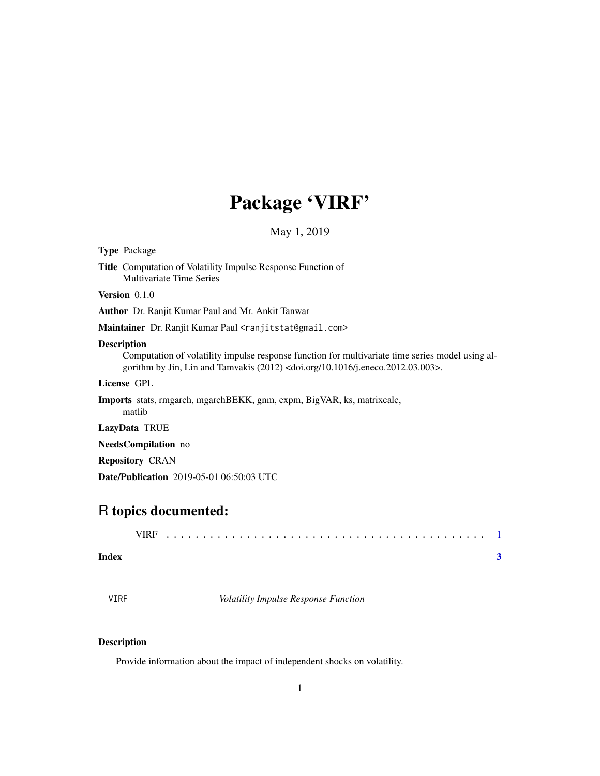## Package 'VIRF'

May 1, 2019

<span id="page-0-0"></span>

| <b>Type Package</b>                                                                                                                                                                                                        |
|----------------------------------------------------------------------------------------------------------------------------------------------------------------------------------------------------------------------------|
| <b>Title</b> Computation of Volatility Impulse Response Function of<br><b>Multivariate Time Series</b>                                                                                                                     |
| <b>Version</b> $0.1.0$                                                                                                                                                                                                     |
| Author Dr. Ranjit Kumar Paul and Mr. Ankit Tanwar                                                                                                                                                                          |
| Maintainer Dr. Ranjit Kumar Paul <ranjitstat@gmail.com></ranjitstat@gmail.com>                                                                                                                                             |
| <b>Description</b><br>Computation of volatility impulse response function for multivariate time series model using al-<br>gorithm by Jin, Lin and Tamvakis $(2012)$ <doi.org 10.1016="" j.eneco.2012.03.003="">.</doi.org> |
| License GPL                                                                                                                                                                                                                |
| <b>Imports</b> stats, rmgarch, mgarchBEKK, gnm, expm, BigVAR, ks, matrixcalc,<br>matlib                                                                                                                                    |
| LazyData TRUE                                                                                                                                                                                                              |
| <b>NeedsCompilation</b> no                                                                                                                                                                                                 |
| <b>Repository CRAN</b>                                                                                                                                                                                                     |
| <b>Date/Publication</b> 2019-05-01 06:50:03 UTC                                                                                                                                                                            |
|                                                                                                                                                                                                                            |
| R topics documented:                                                                                                                                                                                                       |

|       | 7IRF. |  |  |  |  |  |  |  |  |  |  |  |  |  |  |  |  |  |  |
|-------|-------|--|--|--|--|--|--|--|--|--|--|--|--|--|--|--|--|--|--|
| Index |       |  |  |  |  |  |  |  |  |  |  |  |  |  |  |  |  |  |  |

VIRF *Volatility Impulse Response Function*

### Description

Provide information about the impact of independent shocks on volatility.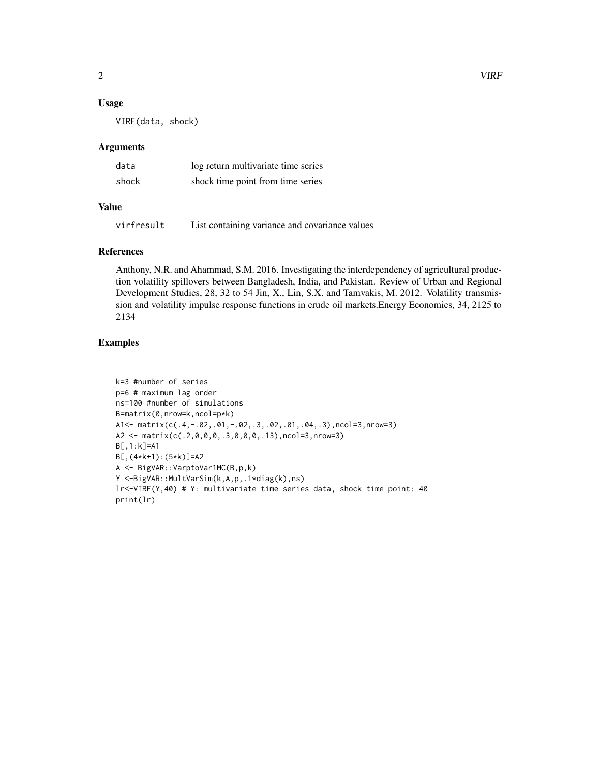#### Usage

VIRF(data, shock)

#### Arguments

| data  | log return multivariate time series |
|-------|-------------------------------------|
| shock | shock time point from time series   |

#### Value

virfresult List containing variance and covariance values

#### References

Anthony, N.R. and Ahammad, S.M. 2016. Investigating the interdependency of agricultural production volatility spillovers between Bangladesh, India, and Pakistan. Review of Urban and Regional Development Studies, 28, 32 to 54 Jin, X., Lin, S.X. and Tamvakis, M. 2012. Volatility transmission and volatility impulse response functions in crude oil markets.Energy Economics, 34, 2125 to 2134

#### Examples

```
k=3 #number of series
p=6 # maximum lag order
ns=100 #number of simulations
B=matrix(0,nrow=k,ncol=p*k)
A1<- matrix(c(.4,-.02,.01,-.02,.3,.02,.01,.04,.3),ncol=3,nrow=3)
A2 <- matrix(c(.2,0,0,0,.3,0,0,0,.13),ncol=3,nrow=3)
B[,1:k]=A1
B[,(4*k+1):(5*k)]=A2
A <- BigVAR::VarptoVar1MC(B,p,k)
Y <-BigVAR::MultVarSim(k,A,p,.1*diag(k),ns)
lr<-VIRF(Y,40) # Y: multivariate time series data, shock time point: 40
print(lr)
```